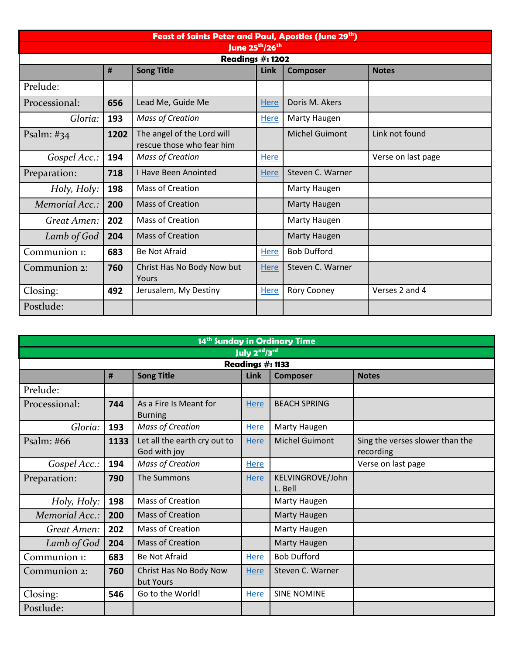| Feast of Saints Peter and Paul, Apostles (June 29th) |      |                                                         |             |                       |                    |  |  |  |
|------------------------------------------------------|------|---------------------------------------------------------|-------------|-----------------------|--------------------|--|--|--|
| June 25 <sup>th</sup> /26 <sup>th</sup>              |      |                                                         |             |                       |                    |  |  |  |
| <b>Readings #: 1202</b>                              |      |                                                         |             |                       |                    |  |  |  |
|                                                      | #    | <b>Song Title</b>                                       | Link        | <b>Composer</b>       | <b>Notes</b>       |  |  |  |
| Prelude:                                             |      |                                                         |             |                       |                    |  |  |  |
| Processional:                                        | 656  | Lead Me, Guide Me                                       | Here        | Doris M. Akers        |                    |  |  |  |
| Gloria:                                              | 193  | <b>Mass of Creation</b>                                 | Here        | Marty Haugen          |                    |  |  |  |
| Psalm: $\#34$                                        | 1202 | The angel of the Lord will<br>rescue those who fear him |             | <b>Michel Guimont</b> | Link not found     |  |  |  |
| Gospel Acc.:                                         | 194  | <b>Mass of Creation</b>                                 | Here        |                       | Verse on last page |  |  |  |
| Preparation:                                         | 718  | <b>I Have Been Anointed</b>                             | <b>Here</b> | Steven C. Warner      |                    |  |  |  |
| Holy, Holy:                                          | 198  | Mass of Creation                                        |             | Marty Haugen          |                    |  |  |  |
| Memorial Acc.:                                       | 200  | <b>Mass of Creation</b>                                 |             | <b>Marty Haugen</b>   |                    |  |  |  |
| Great Amen:                                          | 202  | <b>Mass of Creation</b>                                 |             | Marty Haugen          |                    |  |  |  |
| Lamb of God                                          | 204  | <b>Mass of Creation</b>                                 |             | <b>Marty Haugen</b>   |                    |  |  |  |
| Communion 1:                                         | 683  | <b>Be Not Afraid</b>                                    | Here        | <b>Bob Dufford</b>    |                    |  |  |  |
| Communion 2:                                         | 760  | Christ Has No Body Now but<br>Yours                     | <b>Here</b> | Steven C. Warner      |                    |  |  |  |
| Closing:                                             | 492  | Jerusalem, My Destiny                                   | <b>Here</b> | Rory Cooney           | Verses 2 and 4     |  |  |  |
| Postlude:                                            |      |                                                         |             |                       |                    |  |  |  |

| 14 <sup>th</sup> Sunday in Ordinary Time |      |                                              |             |                             |                                              |  |  |  |
|------------------------------------------|------|----------------------------------------------|-------------|-----------------------------|----------------------------------------------|--|--|--|
| July 2 <sup>nd</sup> /3rd                |      |                                              |             |                             |                                              |  |  |  |
| Readings #: 1133                         |      |                                              |             |                             |                                              |  |  |  |
|                                          | #    | <b>Song Title</b>                            | <b>Link</b> | <b>Composer</b>             | <b>Notes</b>                                 |  |  |  |
| Prelude:                                 |      |                                              |             |                             |                                              |  |  |  |
| Processional:                            | 744  | As a Fire Is Meant for<br><b>Burning</b>     | Here        | <b>BEACH SPRING</b>         |                                              |  |  |  |
| Gloria:                                  | 193  | Mass of Creation                             | Here        | Marty Haugen                |                                              |  |  |  |
| Psalm: #66                               | 1133 | Let all the earth cry out to<br>God with joy | <b>Here</b> | <b>Michel Guimont</b>       | Sing the verses slower than the<br>recording |  |  |  |
| Gospel Acc.:                             | 194  | <b>Mass of Creation</b>                      | Here        |                             | Verse on last page                           |  |  |  |
| Preparation:                             | 790  | The Summons                                  | Here        | KELVINGROVE/John<br>L. Bell |                                              |  |  |  |
| Holy, Holy:                              | 198  | Mass of Creation                             |             | Marty Haugen                |                                              |  |  |  |
| Memorial Acc.:                           | 200  | <b>Mass of Creation</b>                      |             | Marty Haugen                |                                              |  |  |  |
| Great Amen:                              | 202  | Mass of Creation                             |             | Marty Haugen                |                                              |  |  |  |
| Lamb of God                              | 204  | <b>Mass of Creation</b>                      |             | Marty Haugen                |                                              |  |  |  |
| Communion 1:                             | 683  | <b>Be Not Afraid</b>                         | Here        | <b>Bob Dufford</b>          |                                              |  |  |  |
| Communion 2:                             | 760  | Christ Has No Body Now<br>but Yours          | Here        | Steven C. Warner            |                                              |  |  |  |
| Closing:                                 | 546  | Go to the World!                             | Here        | <b>SINE NOMINE</b>          |                                              |  |  |  |
| Postlude:                                |      |                                              |             |                             |                                              |  |  |  |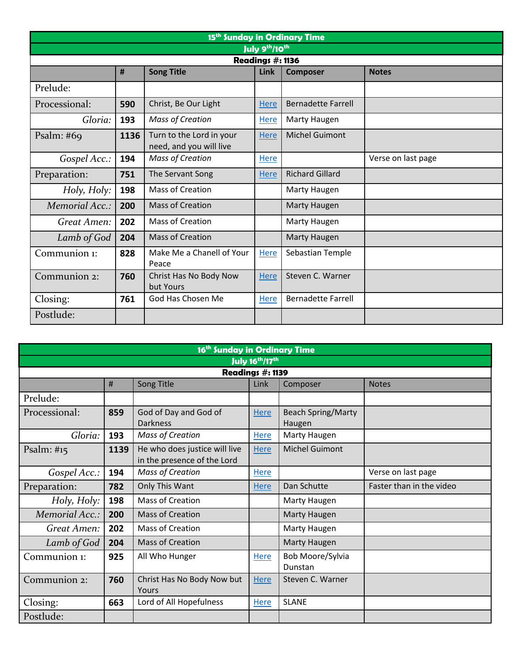| 15 <sup>th</sup> Sunday in Ordinary Time |      |                                                     |             |                           |                    |  |  |  |
|------------------------------------------|------|-----------------------------------------------------|-------------|---------------------------|--------------------|--|--|--|
| July 9th/10th                            |      |                                                     |             |                           |                    |  |  |  |
| Readings #: 1136                         |      |                                                     |             |                           |                    |  |  |  |
|                                          | #    | <b>Song Title</b>                                   | Link        | <b>Composer</b>           | <b>Notes</b>       |  |  |  |
| Prelude:                                 |      |                                                     |             |                           |                    |  |  |  |
| Processional:                            | 590  | Christ, Be Our Light                                | <b>Here</b> | <b>Bernadette Farrell</b> |                    |  |  |  |
| Gloria:                                  | 193  | <b>Mass of Creation</b>                             | Here        | Marty Haugen              |                    |  |  |  |
| Psalm: $#69$                             | 1136 | Turn to the Lord in your<br>need, and you will live | <b>Here</b> | <b>Michel Guimont</b>     |                    |  |  |  |
| Gospel Acc.:                             | 194  | <b>Mass of Creation</b>                             | <b>Here</b> |                           | Verse on last page |  |  |  |
| Preparation:                             | 751  | The Servant Song                                    | <b>Here</b> | <b>Richard Gillard</b>    |                    |  |  |  |
| Holy, Holy:                              | 198  | <b>Mass of Creation</b>                             |             | Marty Haugen              |                    |  |  |  |
| Memorial Acc.:                           | 200  | <b>Mass of Creation</b>                             |             | <b>Marty Haugen</b>       |                    |  |  |  |
| Great Amen:                              | 202  | <b>Mass of Creation</b>                             |             | Marty Haugen              |                    |  |  |  |
| Lamb of God                              | 204  | <b>Mass of Creation</b>                             |             | Marty Haugen              |                    |  |  |  |
| Communion 1:                             | 828  | Make Me a Chanell of Your<br>Peace                  | <b>Here</b> | Sebastian Temple          |                    |  |  |  |
| Communion 2:                             | 760  | Christ Has No Body Now<br>but Yours                 | <b>Here</b> | Steven C. Warner          |                    |  |  |  |
| Closing:                                 | 761  | God Has Chosen Me                                   | Here        | <b>Bernadette Farrell</b> |                    |  |  |  |
| Postlude:                                |      |                                                     |             |                           |                    |  |  |  |

| 16 <sup>th</sup> Sunday in Ordinary Time    |      |                                                              |             |                                     |                          |  |  |  |
|---------------------------------------------|------|--------------------------------------------------------------|-------------|-------------------------------------|--------------------------|--|--|--|
| <b>July 16<sup>th</sup>/17<sup>th</sup></b> |      |                                                              |             |                                     |                          |  |  |  |
| Readings #: 1139                            |      |                                                              |             |                                     |                          |  |  |  |
|                                             | #    | Song Title                                                   | Link        | <b>Notes</b><br>Composer            |                          |  |  |  |
| Prelude:                                    |      |                                                              |             |                                     |                          |  |  |  |
| Processional:                               | 859  | God of Day and God of<br><b>Darkness</b>                     | <b>Here</b> | <b>Beach Spring/Marty</b><br>Haugen |                          |  |  |  |
| Gloria:                                     | 193  | <b>Mass of Creation</b>                                      | Here        | Marty Haugen                        |                          |  |  |  |
| Psalm: $\#$ 15                              | 1139 | He who does justice will live<br>in the presence of the Lord | <b>Here</b> | <b>Michel Guimont</b>               |                          |  |  |  |
| Gospel Acc.:                                | 194  | <b>Mass of Creation</b>                                      | <b>Here</b> |                                     | Verse on last page       |  |  |  |
| Preparation:                                | 782  | Only This Want                                               | <b>Here</b> | Dan Schutte                         | Faster than in the video |  |  |  |
| Holy, Holy:                                 | 198  | Mass of Creation                                             |             | Marty Haugen                        |                          |  |  |  |
| Memorial Acc.:                              | 200  | <b>Mass of Creation</b>                                      |             | Marty Haugen                        |                          |  |  |  |
| Great Amen:                                 | 202  | Mass of Creation                                             |             | Marty Haugen                        |                          |  |  |  |
| Lamb of God                                 | 204  | <b>Mass of Creation</b>                                      |             | Marty Haugen                        |                          |  |  |  |
| Communion 1:                                | 925  | All Who Hunger                                               | Here        | Bob Moore/Sylvia<br>Dunstan         |                          |  |  |  |
| Communion 2:                                | 760  | Christ Has No Body Now but<br>Yours                          | <b>Here</b> | Steven C. Warner                    |                          |  |  |  |
| Closing:                                    | 663  | Lord of All Hopefulness                                      | Here        | <b>SLANE</b>                        |                          |  |  |  |
| Postlude:                                   |      |                                                              |             |                                     |                          |  |  |  |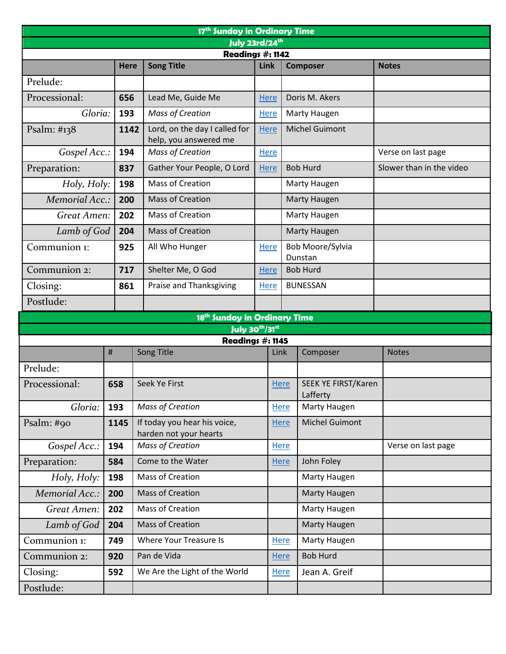| 17 <sup>th</sup> Sunday in Ordinary Time      |                                                                                 |      |                                                        |                |                             |                                 |                          |  |
|-----------------------------------------------|---------------------------------------------------------------------------------|------|--------------------------------------------------------|----------------|-----------------------------|---------------------------------|--------------------------|--|
| July 23rd/24th                                |                                                                                 |      |                                                        |                |                             |                                 |                          |  |
|                                               | Readings #: 1142<br><b>Song Title</b><br>Link<br><b>Here</b><br><b>Composer</b> |      |                                                        |                |                             |                                 | <b>Notes</b>             |  |
| Prelude:                                      |                                                                                 |      |                                                        |                |                             |                                 |                          |  |
| Processional:                                 |                                                                                 | 656  | Lead Me, Guide Me                                      | <b>Here</b>    |                             | Doris M. Akers                  |                          |  |
| Gloria:                                       |                                                                                 | 193  | <b>Mass of Creation</b>                                | <b>Here</b>    |                             |                                 |                          |  |
|                                               |                                                                                 |      |                                                        |                | <b>Marty Haugen</b>         |                                 |                          |  |
| Psalm: #138                                   |                                                                                 | 1142 | Lord, on the day I called for<br>help, you answered me | <b>Here</b>    | <b>Michel Guimont</b>       |                                 |                          |  |
| Gospel Acc.:                                  |                                                                                 | 194  | <b>Mass of Creation</b>                                | <b>Here</b>    |                             |                                 | Verse on last page       |  |
| Preparation:                                  |                                                                                 | 837  | Gather Your People, O Lord                             | <b>Here</b>    | <b>Bob Hurd</b>             |                                 | Slower than in the video |  |
| Holy, Holy:                                   |                                                                                 | 198  | <b>Mass of Creation</b>                                |                | <b>Marty Haugen</b>         |                                 |                          |  |
| Memorial Acc.:                                |                                                                                 | 200  | <b>Mass of Creation</b>                                |                | <b>Marty Haugen</b>         |                                 |                          |  |
| <b>Great Amen:</b>                            |                                                                                 | 202  | Mass of Creation                                       |                |                             | Marty Haugen                    |                          |  |
| Lamb of God                                   |                                                                                 | 204  | Mass of Creation                                       |                | <b>Marty Haugen</b>         |                                 |                          |  |
| Communion 1:                                  |                                                                                 | 925  | All Who Hunger                                         | <b>Here</b>    | Bob Moore/Sylvia<br>Dunstan |                                 |                          |  |
| Communion 2:                                  |                                                                                 | 717  | Shelter Me, O God                                      | <b>Here</b>    | <b>Bob Hurd</b>             |                                 |                          |  |
| Closing:                                      |                                                                                 | 861  | Praise and Thanksgiving                                | <b>Here</b>    | <b>BUNESSAN</b>             |                                 |                          |  |
| Postlude:                                     |                                                                                 |      |                                                        |                |                             |                                 |                          |  |
|                                               |                                                                                 |      | 18 <sup>th</sup> Sunday in Ordinary Time               |                |                             |                                 |                          |  |
|                                               |                                                                                 |      |                                                        | July 30th/31st |                             |                                 |                          |  |
| Readings #: 1145<br><b>Song Title</b><br>Link |                                                                                 |      |                                                        |                | <b>Notes</b>                |                                 |                          |  |
|                                               | $\#$                                                                            |      |                                                        |                |                             | Composer                        |                          |  |
| Prelude:                                      |                                                                                 |      |                                                        |                |                             |                                 |                          |  |
| Processional:                                 | 658                                                                             |      | Seek Ye First                                          | <b>Here</b>    |                             | SEEK YE FIRST/Karen<br>Lafferty |                          |  |
| Gloria:                                       | 193                                                                             |      | <b>Mass of Creation</b>                                | Here           |                             | <b>Marty Haugen</b>             |                          |  |
| Psalm: #90                                    | 1145                                                                            |      | If today you hear his voice,<br>harden not your hearts | Here           |                             | <b>Michel Guimont</b>           |                          |  |
| Gospel Acc.:                                  | 194                                                                             |      | Mass of Creation                                       |                | <b>Here</b>                 |                                 | Verse on last page       |  |
| Preparation:                                  | 584                                                                             |      | Come to the Water                                      |                | <b>Here</b>                 | John Foley                      |                          |  |
| Holy, Holy:                                   | 198                                                                             |      | Mass of Creation                                       |                |                             | Marty Haugen                    |                          |  |
| Memorial Acc.:                                | 200                                                                             |      | Mass of Creation                                       |                |                             | <b>Marty Haugen</b>             |                          |  |
| Great Amen:                                   | 202                                                                             |      | Mass of Creation                                       |                |                             | Marty Haugen                    |                          |  |
| Lamb of God                                   | 204                                                                             |      | Mass of Creation                                       |                |                             | Marty Haugen                    |                          |  |
| Communion 1:                                  | 749                                                                             |      | Where Your Treasure Is                                 | <b>Here</b>    |                             | Marty Haugen                    |                          |  |
| Communion 2:                                  | 920                                                                             |      | Pan de Vida                                            | Here           |                             | <b>Bob Hurd</b>                 |                          |  |
| Closing:                                      | 592                                                                             |      | We Are the Light of the World                          | <b>Here</b>    |                             | Jean A. Greif                   |                          |  |
| Postlude:                                     |                                                                                 |      |                                                        |                |                             |                                 |                          |  |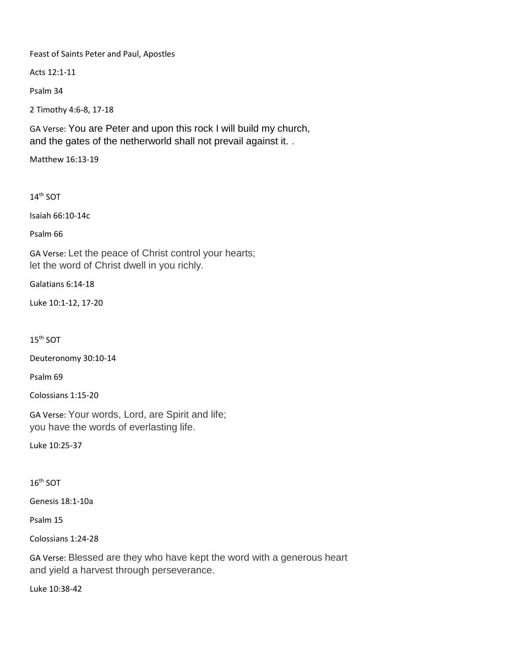Feast of Saints Peter and Paul, Apostles

Acts 12:1-11

Psalm 34

2 Timothy 4:6-8, 17-18

GA Verse: You are Peter and upon this rock I will build my church, and the gates of the netherworld shall not prevail against it. .

Matthew 16:13-19

14th SOT

Isaiah 66:10-14c

Psalm 66

GA Verse: Let the peace of Christ control your hearts; let the word of Christ dwell in you richly.

Galatians 6:14-18

Luke 10:1-12, 17-20

15th SOT

Deuteronomy 30:10-14

Psalm 69

Colossians 1:15-20

GA Verse: Your words, Lord, are Spirit and life; you have the words of everlasting life.

Luke 10:25-37

 $16<sup>th</sup>$  SOT

Genesis 18:1-10a

Psalm 15

Colossians 1:24-28

GA Verse: Blessed are they who have kept the word with a generous heart and yield a harvest through perseverance.

Luke 10:38-42